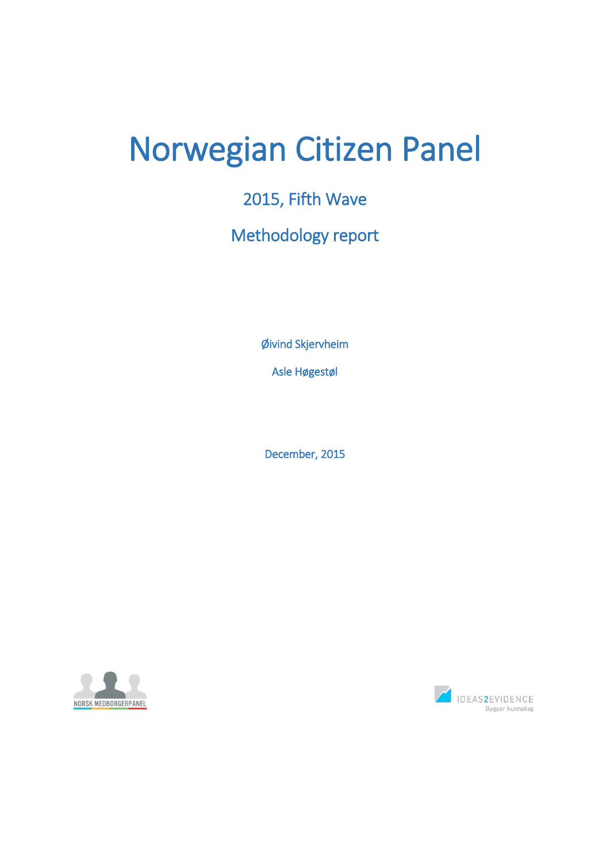# Norwegian Citizen Panel

# 2015, Fifth Wave

# Methodology report

Øivind Skjervheim

Asle Høgestøl

December, 2015



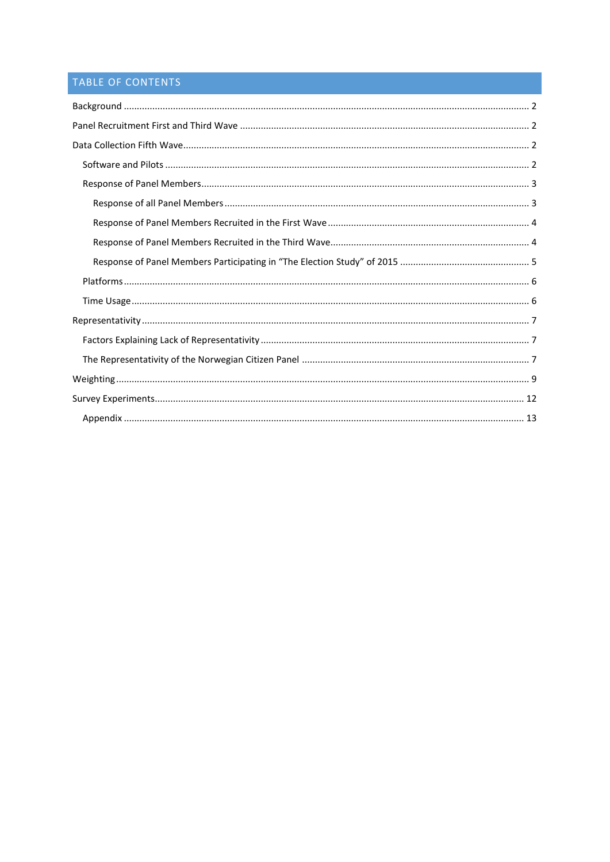# TABLE OF CONTENTS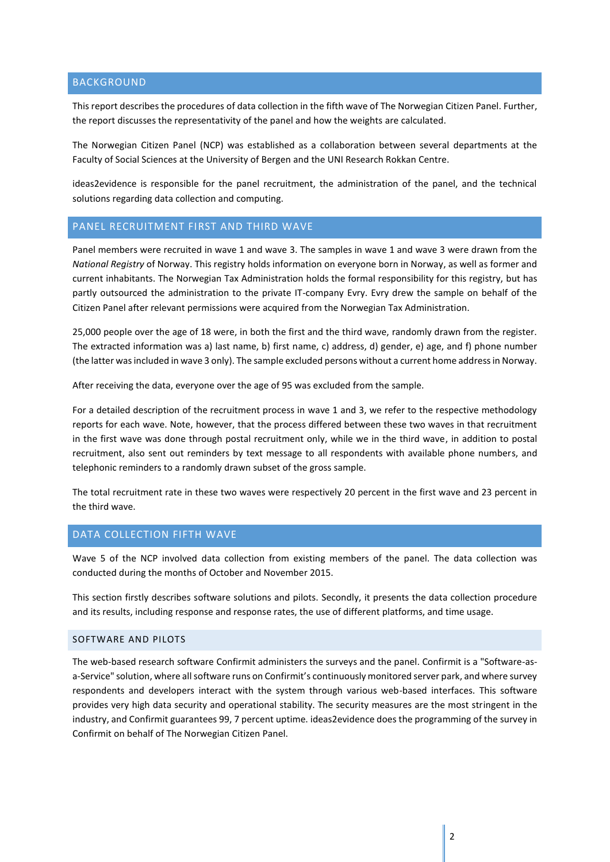### <span id="page-2-0"></span>BACKGROUND

This report describes the procedures of data collection in the fifth wave of The Norwegian Citizen Panel. Further, the report discusses the representativity of the panel and how the weights are calculated.

The Norwegian Citizen Panel (NCP) was established as a collaboration between several departments at the Faculty of Social Sciences at the University of Bergen and the UNI Research Rokkan Centre.

ideas2evidence is responsible for the panel recruitment, the administration of the panel, and the technical solutions regarding data collection and computing.

#### <span id="page-2-1"></span>PANEL RECRUITMENT FIRST AND THIRD WAVE

Panel members were recruited in wave 1 and wave 3. The samples in wave 1 and wave 3 were drawn from the *National Registry* of Norway. This registry holds information on everyone born in Norway, as well as former and current inhabitants. The Norwegian Tax Administration holds the formal responsibility for this registry, but has partly outsourced the administration to the private IT-company Evry. Evry drew the sample on behalf of the Citizen Panel after relevant permissions were acquired from the Norwegian Tax Administration.

25,000 people over the age of 18 were, in both the first and the third wave, randomly drawn from the register. The extracted information was a) last name, b) first name, c) address, d) gender, e) age, and f) phone number (the latter was included in wave 3 only). The sample excluded persons without a current home address in Norway.

After receiving the data, everyone over the age of 95 was excluded from the sample.

For a detailed description of the recruitment process in wave 1 and 3, we refer to the respective methodology reports for each wave. Note, however, that the process differed between these two waves in that recruitment in the first wave was done through postal recruitment only, while we in the third wave, in addition to postal recruitment, also sent out reminders by text message to all respondents with available phone numbers, and telephonic reminders to a randomly drawn subset of the gross sample.

The total recruitment rate in these two waves were respectively 20 percent in the first wave and 23 percent in the third wave.

#### <span id="page-2-2"></span>DATA COLLECTION FIFTH WAVE

Wave 5 of the NCP involved data collection from existing members of the panel. The data collection was conducted during the months of October and November 2015.

This section firstly describes software solutions and pilots. Secondly, it presents the data collection procedure and its results, including response and response rates, the use of different platforms, and time usage.

#### <span id="page-2-3"></span>SOFTWARE AND PILOTS

The web-based research software Confirmit administers the surveys and the panel. Confirmit is a "Software-asa-Service" solution, where all software runs on Confirmit's continuously monitored server park, and where survey respondents and developers interact with the system through various web-based interfaces. This software provides very high data security and operational stability. The security measures are the most stringent in the industry, and Confirmit guarantees 99, 7 percent uptime. ideas2evidence does the programming of the survey in Confirmit on behalf of The Norwegian Citizen Panel.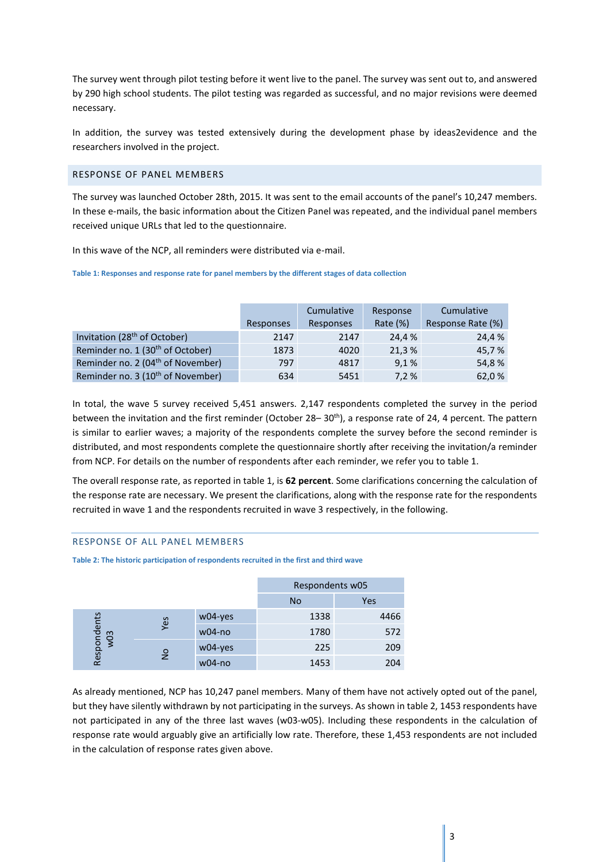The survey went through pilot testing before it went live to the panel. The survey was sent out to, and answered by 290 high school students. The pilot testing was regarded as successful, and no major revisions were deemed necessary.

In addition, the survey was tested extensively during the development phase by ideas2evidence and the researchers involved in the project.

#### <span id="page-3-0"></span>RESPONSE OF PANEL MEMBERS

The survey was launched October 28th, 2015. It was sent to the email accounts of the panel's 10,247 members. In these e-mails, the basic information about the Citizen Panel was repeated, and the individual panel members received unique URLs that led to the questionnaire.

In this wave of the NCP, all reminders were distributed via e-mail.

#### **Table 1: Responses and response rate for panel members by the different stages of data collection**

|                                               |           | Cumulative | Response | Cumulative        |
|-----------------------------------------------|-----------|------------|----------|-------------------|
|                                               | Responses | Responses  | Rate (%) | Response Rate (%) |
| Invitation (28 <sup>th</sup> of October)      | 2147      | 2147       | 24,4 %   | 24.4 %            |
| Reminder no. 1 (30 <sup>th</sup> of October)  | 1873      | 4020       | 21,3%    | 45,7%             |
| Reminder no. 2 (04 <sup>th</sup> of November) | 797       | 4817       | 9,1%     | 54,8%             |
| Reminder no. 3 (10 <sup>th</sup> of November) | 634       | 5451       | 7,2%     | 62,0%             |

In total, the wave 5 survey received 5,451 answers. 2,147 respondents completed the survey in the period between the invitation and the first reminder (October 28–30<sup>th</sup>), a response rate of 24, 4 percent. The pattern is similar to earlier waves; a majority of the respondents complete the survey before the second reminder is distributed, and most respondents complete the questionnaire shortly after receiving the invitation/a reminder from NCP. For details on the number of respondents after each reminder, we refer you to table 1.

The overall response rate, as reported in table 1, is **62 percent**. Some clarifications concerning the calculation of the response rate are necessary. We present the clarifications, along with the response rate for the respondents recruited in wave 1 and the respondents recruited in wave 3 respectively, in the following.

#### <span id="page-3-1"></span>RESPONSE OF ALL PANEL MEMBERS

**Table 2: The historic participation of respondents recruited in the first and third wave**

|                                            |          |            | Respondents w05 |      |
|--------------------------------------------|----------|------------|-----------------|------|
|                                            |          |            | <b>No</b>       | Yes  |
|                                            |          | $w04$ -yes | 1338            | 4466 |
| Respondents<br>w03<br>Yes<br>$\frac{1}{2}$ | $w04-no$ | 1780       | 572             |      |
|                                            |          | $w04$ -yes | 225             | 209  |
|                                            |          | $w04-no$   | 1453            | 204  |

As already mentioned, NCP has 10,247 panel members. Many of them have not actively opted out of the panel, but they have silently withdrawn by not participating in the surveys. As shown in table 2, 1453 respondents have not participated in any of the three last waves (w03-w05). Including these respondents in the calculation of response rate would arguably give an artificially low rate. Therefore, these 1,453 respondents are not included in the calculation of response rates given above.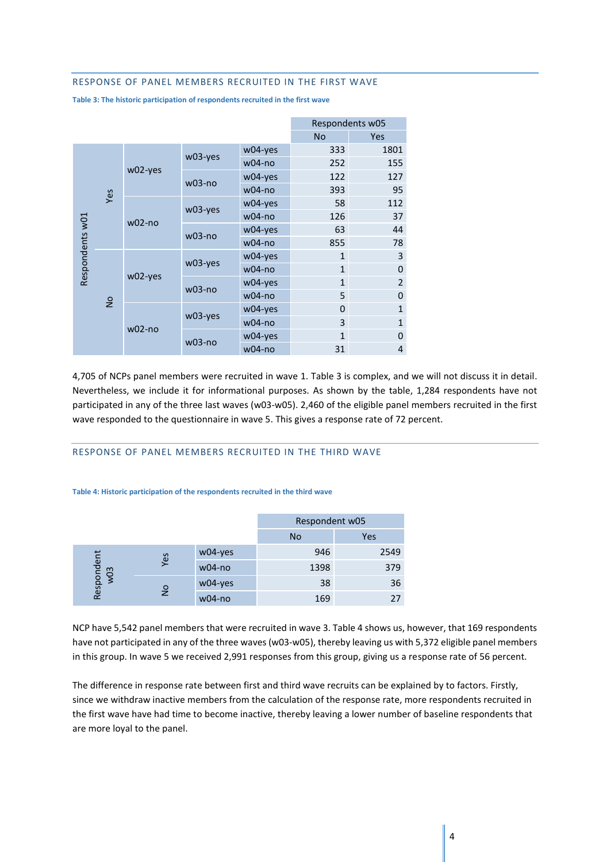#### <span id="page-4-0"></span>RESPONSE OF PANEL MEMBERS RECRUITED IN THE FIRST WAVE

**Table 3: The historic participation of respondents recruited in the first wave**

|  |                             |                      |          | Respondents w05 |                |                |
|--|-----------------------------|----------------------|----------|-----------------|----------------|----------------|
|  |                             |                      |          |                 | <b>No</b>      | <b>Yes</b>     |
|  |                             |                      |          | w04-yes         | 333            | 1801           |
|  |                             | w02-yes              | w03-yes  | $w04-no$        | 252            | 155            |
|  |                             | $w03-no$             | w04-yes  | 122             | 127            |                |
|  | Yes                         |                      |          | $w04-no$        | 393            | 95             |
|  | Respondents w01<br>$w02-no$ | w03-yes              | w04-yes  | 58              | 112            |                |
|  |                             |                      | $w04-no$ | 126             | 37             |                |
|  |                             | $w03-no$             | w04-yes  | 63              | 44             |                |
|  |                             |                      |          | $w04-no$        | 855            | 78             |
|  |                             |                      | w03-yes  | w04-yes         | $\mathbf{1}$   | 3              |
|  |                             | w02-yes              |          | $w04-no$        | $\mathbf{1}$   | $\overline{0}$ |
|  |                             |                      | $w03-no$ | w04-yes         | $\mathbf{1}$   | $\overline{2}$ |
|  | $\frac{1}{2}$               |                      |          | $w04-no$        | 5              | $\Omega$       |
|  |                             |                      | w03-yes  | w04-yes         | $\overline{0}$ | $\mathbf{1}$   |
|  |                             | $w02-no$             |          | $w04-no$        | 3              | $\mathbf{1}$   |
|  |                             |                      |          | w04-yes         | $\mathbf{1}$   | $\Omega$       |
|  |                             | $w03-no$<br>$w04-no$ |          | 31              | 4              |                |

4,705 of NCPs panel members were recruited in wave 1. Table 3 is complex, and we will not discuss it in detail. Nevertheless, we include it for informational purposes. As shown by the table, 1,284 respondents have not participated in any of the three last waves (w03-w05). 2,460 of the eligible panel members recruited in the first wave responded to the questionnaire in wave 5. This gives a response rate of 72 percent.

#### <span id="page-4-1"></span>RESPONSE OF PANEL MEMBERS RECRUITED IN THE THIRD WAVE

#### **Table 4: Historic participation of the respondents recruited in the third wave**

|                                           |          |          | Respondent w05 |      |
|-------------------------------------------|----------|----------|----------------|------|
|                                           |          |          | <b>No</b>      | Yes  |
|                                           |          | w04-yes  | 946            | 2549 |
| Respondent<br>w03<br>Yes<br>$\frac{1}{2}$ | $w04-no$ | 1398     | 379            |      |
|                                           |          | w04-yes  | 38             | 36   |
|                                           |          | $w04-no$ | 169            | 27   |

NCP have 5,542 panel members that were recruited in wave 3. Table 4 shows us, however, that 169 respondents have not participated in any of the three waves(w03-w05), thereby leaving us with 5,372 eligible panel members in this group. In wave 5 we received 2,991 responses from this group, giving us a response rate of 56 percent.

The difference in response rate between first and third wave recruits can be explained by to factors. Firstly, since we withdraw inactive members from the calculation of the response rate, more respondents recruited in the first wave have had time to become inactive, thereby leaving a lower number of baseline respondents that are more loyal to the panel.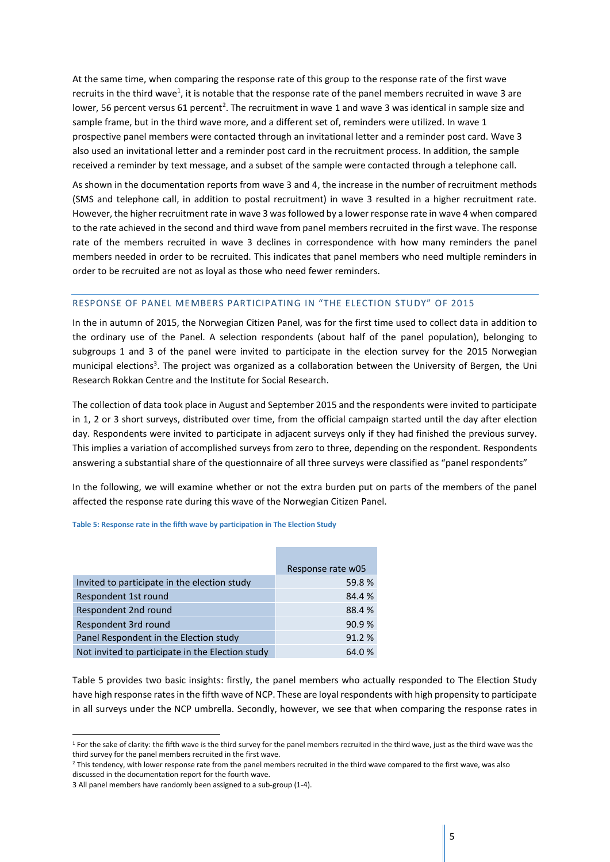At the same time, when comparing the response rate of this group to the response rate of the first wave recruits in the third wave<sup>1</sup>, it is notable that the response rate of the panel members recruited in wave 3 are lower, 56 percent versus 61 percent<sup>2</sup>. The recruitment in wave 1 and wave 3 was identical in sample size and sample frame, but in the third wave more, and a different set of, reminders were utilized. In wave 1 prospective panel members were contacted through an invitational letter and a reminder post card. Wave 3 also used an invitational letter and a reminder post card in the recruitment process. In addition, the sample received a reminder by text message, and a subset of the sample were contacted through a telephone call.

As shown in the documentation reports from wave 3 and 4, the increase in the number of recruitment methods (SMS and telephone call, in addition to postal recruitment) in wave 3 resulted in a higher recruitment rate. However, the higher recruitment rate in wave 3 wasfollowed by a lower response rate in wave 4 when compared to the rate achieved in the second and third wave from panel members recruited in the first wave. The response rate of the members recruited in wave 3 declines in correspondence with how many reminders the panel members needed in order to be recruited. This indicates that panel members who need multiple reminders in order to be recruited are not as loyal as those who need fewer reminders.

#### <span id="page-5-0"></span>RESPONSE OF PANEL MEMBERS PARTICIPATING IN "THE ELECTION STUDY" OF 2015

In the in autumn of 2015, the Norwegian Citizen Panel, was for the first time used to collect data in addition to the ordinary use of the Panel. A selection respondents (about half of the panel population), belonging to subgroups 1 and 3 of the panel were invited to participate in the election survey for the 2015 Norwegian municipal elections<sup>3</sup>. The project was organized as a collaboration between the University of Bergen, the Uni Research Rokkan Centre and the Institute for Social Research.

The collection of data took place in August and September 2015 and the respondents were invited to participate in 1, 2 or 3 short surveys, distributed over time, from the official campaign started until the day after election day. Respondents were invited to participate in adjacent surveys only if they had finished the previous survey. This implies a variation of accomplished surveys from zero to three, depending on the respondent. Respondents answering a substantial share of the questionnaire of all three surveys were classified as "panel respondents"

In the following, we will examine whether or not the extra burden put on parts of the members of the panel affected the response rate during this wave of the Norwegian Citizen Panel.

#### **Table 5: Response rate in the fifth wave by participation in The Election Study**

|                                                  | Response rate w05 |
|--------------------------------------------------|-------------------|
| Invited to participate in the election study     | 59.8%             |
| Respondent 1st round                             | 84.4%             |
| Respondent 2nd round                             | 88.4%             |
| Respondent 3rd round                             | 90.9%             |
| Panel Respondent in the Election study           | 91.2%             |
| Not invited to participate in the Election study | 64.0%             |

Table 5 provides two basic insights: firstly, the panel members who actually responded to The Election Study have high response rates in the fifth wave of NCP. These are loyal respondents with high propensity to participate in all surveys under the NCP umbrella. Secondly, however, we see that when comparing the response rates in

**.** 

<sup>&</sup>lt;sup>1</sup> For the sake of clarity: the fifth wave is the third survey for the panel members recruited in the third wave, just as the third wave was the third survey for the panel members recruited in the first wave.

<sup>&</sup>lt;sup>2</sup> This tendency, with lower response rate from the panel members recruited in the third wave compared to the first wave, was also discussed in the documentation report for the fourth wave.

<sup>3</sup> All panel members have randomly been assigned to a sub-group (1-4).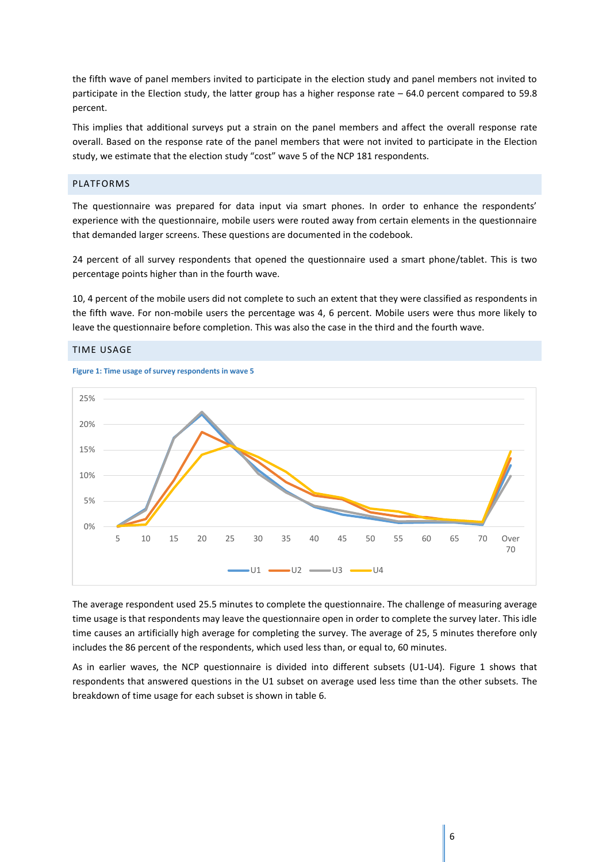the fifth wave of panel members invited to participate in the election study and panel members not invited to participate in the Election study, the latter group has a higher response rate – 64.0 percent compared to 59.8 percent.

This implies that additional surveys put a strain on the panel members and affect the overall response rate overall. Based on the response rate of the panel members that were not invited to participate in the Election study, we estimate that the election study "cost" wave 5 of the NCP 181 respondents.

#### <span id="page-6-0"></span>PLATFORMS

The questionnaire was prepared for data input via smart phones. In order to enhance the respondents' experience with the questionnaire, mobile users were routed away from certain elements in the questionnaire that demanded larger screens. These questions are documented in the codebook.

24 percent of all survey respondents that opened the questionnaire used a smart phone/tablet. This is two percentage points higher than in the fourth wave.

10, 4 percent of the mobile users did not complete to such an extent that they were classified as respondents in the fifth wave. For non-mobile users the percentage was 4, 6 percent. Mobile users were thus more likely to leave the questionnaire before completion. This was also the case in the third and the fourth wave.



#### <span id="page-6-1"></span>TIME USAGE

**Figure 1: Time usage of survey respondents in wave 5**

The average respondent used 25.5 minutes to complete the questionnaire. The challenge of measuring average time usage is that respondents may leave the questionnaire open in order to complete the survey later. This idle time causes an artificially high average for completing the survey. The average of 25, 5 minutes therefore only includes the 86 percent of the respondents, which used less than, or equal to, 60 minutes.

As in earlier waves, the NCP questionnaire is divided into different subsets (U1-U4). Figure 1 shows that respondents that answered questions in the U1 subset on average used less time than the other subsets. The breakdown of time usage for each subset is shown in table 6.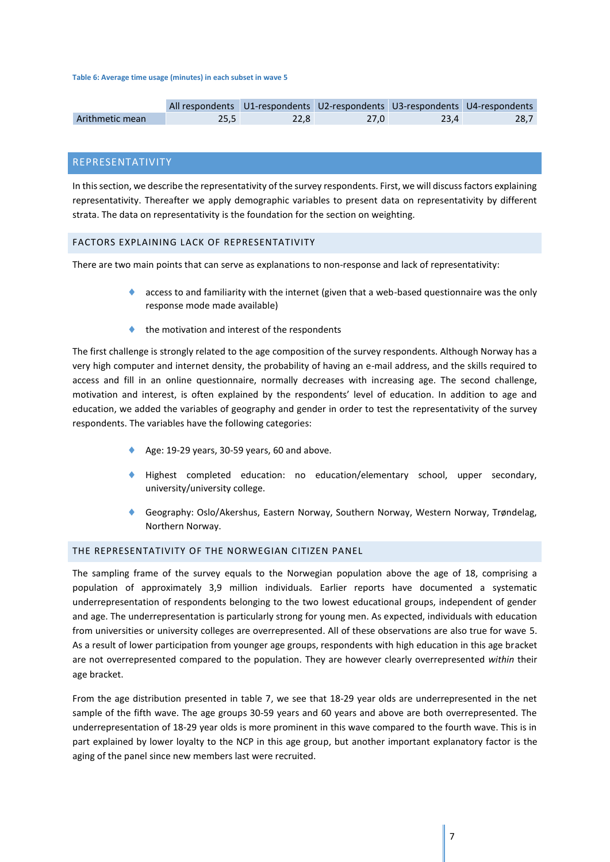#### **Table 6: Average time usage (minutes) in each subset in wave 5**

|                 |      |      | All respondents U1-respondents U2-respondents U3-respondents U4-respondents |      |
|-----------------|------|------|-----------------------------------------------------------------------------|------|
| Arithmetic mean | 25.5 | 22.8 | 27.0                                                                        | 28.7 |

## <span id="page-7-0"></span>REPRESENTATIVITY

In this section, we describe the representativity of the survey respondents. First, we will discuss factors explaining representativity. Thereafter we apply demographic variables to present data on representativity by different strata. The data on representativity is the foundation for the section on weighting.

#### <span id="page-7-1"></span>FACTORS EXPLAINING LACK OF REPRESENTATIVITY

There are two main points that can serve as explanations to non-response and lack of representativity:

- access to and familiarity with the internet (given that a web-based questionnaire was the only response mode made available)
- the motivation and interest of the respondents

The first challenge is strongly related to the age composition of the survey respondents. Although Norway has a very high computer and internet density, the probability of having an e-mail address, and the skills required to access and fill in an online questionnaire, normally decreases with increasing age. The second challenge, motivation and interest, is often explained by the respondents' level of education. In addition to age and education, we added the variables of geography and gender in order to test the representativity of the survey respondents. The variables have the following categories:

- Age: 19-29 years, 30-59 years, 60 and above.
- Highest completed education: no education/elementary school, upper secondary, university/university college.
- Geography: Oslo/Akershus, Eastern Norway, Southern Norway, Western Norway, Trøndelag, Northern Norway.

#### <span id="page-7-2"></span>THE REPRESENTATIVITY OF THE NORWEGIAN CITIZEN PANEL

The sampling frame of the survey equals to the Norwegian population above the age of 18, comprising a population of approximately 3,9 million individuals. Earlier reports have documented a systematic underrepresentation of respondents belonging to the two lowest educational groups, independent of gender and age. The underrepresentation is particularly strong for young men. As expected, individuals with education from universities or university colleges are overrepresented. All of these observations are also true for wave 5. As a result of lower participation from younger age groups, respondents with high education in this age bracket are not overrepresented compared to the population. They are however clearly overrepresented *within* their age bracket.

From the age distribution presented in table 7, we see that 18-29 year olds are underrepresented in the net sample of the fifth wave. The age groups 30-59 years and 60 years and above are both overrepresented. The underrepresentation of 18-29 year olds is more prominent in this wave compared to the fourth wave. This is in part explained by lower loyalty to the NCP in this age group, but another important explanatory factor is the aging of the panel since new members last were recruited.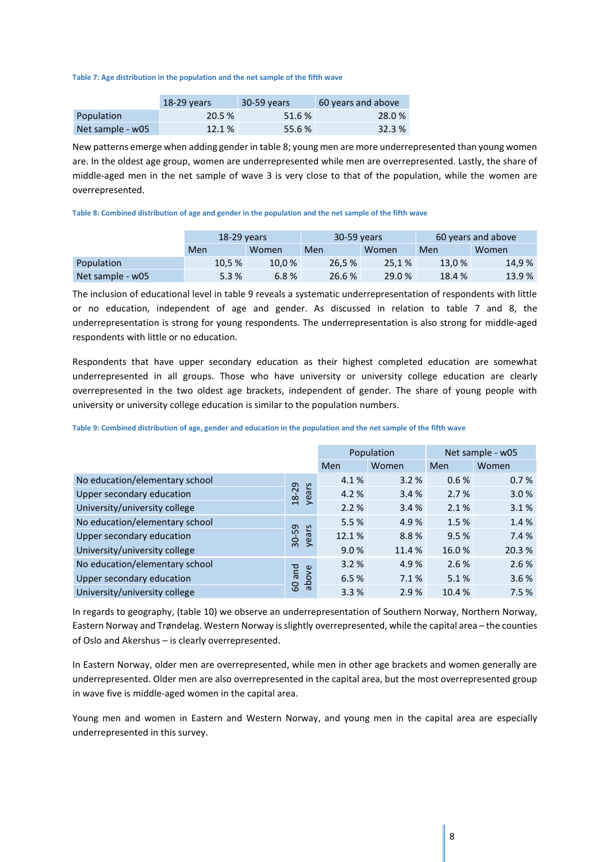**Table 7: Age distribution in the population and the net sample of the fifth wave**

|                  | $18-29$ years | 30-59 years | 60 years and above |
|------------------|---------------|-------------|--------------------|
| Population       | 20.5 %        | 51.6 %      | 28.0 %             |
| Net sample - w05 | 12.1 %        | 55.6 %      | 32.3%              |

New patterns emerge when adding gender in table 8; young men are more underrepresented than young women are. In the oldest age group, women are underrepresented while men are overrepresented. Lastly, the share of middle-aged men in the net sample of wave 3 is very close to that of the population, while the women are overrepresented.

#### **Table 8: Combined distribution of age and gender in the population and the net sample of the fifth wave**

|                  | $18-29$ years |       | 30-59 years |        | 60 years and above |        |
|------------------|---------------|-------|-------------|--------|--------------------|--------|
|                  | Men           | Women | Men         | Women  | Men                | Women  |
| Population       | 10.5%         | 10.0% | 26.5 %      | 25.1%  | 13.0%              | 14,9 % |
| Net sample - w05 | 5.3%          | 6.8%  | 26.6 %      | 29.0 % | 18.4 %             | 13.9%  |

The inclusion of educational level in table 9 reveals a systematic underrepresentation of respondents with little or no education, independent of age and gender. As discussed in relation to table 7 and 8, the underrepresentation is strong for young respondents. The underrepresentation is also strong for middle-aged respondents with little or no education.

Respondents that have upper secondary education as their highest completed education are somewhat underrepresented in all groups. Those who have university or university college education are clearly overrepresented in the two oldest age brackets, independent of gender. The share of young people with university or university college education is similar to the population numbers.

**Table 9: Combined distribution of age, gender and education in the population and the net sample of the fifth wave**

|                                |                |       | Population | Net sample - w05 |        |
|--------------------------------|----------------|-------|------------|------------------|--------|
|                                |                | Men   | Women      | Men              | Women  |
| No education/elementary school |                | 4.1%  | 3.2%       | 0.6 %            | 0.7%   |
| Upper secondary education      | years<br>18-29 | 4.2%  | 3.4%       | 2.7%             | 3.0%   |
| University/university college  |                | 2.2%  | 3.4%       | 2.1%             | 3.1%   |
| No education/elementary school |                | 5.5 % | 4.9%       | 1.5 %            | 1.4 %  |
| Upper secondary education      | 30-59<br>years | 12.1% | 8.8%       | 9.5 %            | 7.4 %  |
| University/university college  |                | 9.0%  | 11.4 %     | 16.0%            | 20.3 % |
| No education/elementary school |                | 3.2%  | 4.9%       | 2.6%             | 2.6 %  |
| Upper secondary education      | pue<br>above   | 6.5%  | 7.1%       | 5.1%             | 3.6%   |
| University/university college  | 60             | 3.3%  | 2.9%       | 10.4 %           | 7.5%   |

In regards to geography, (table 10) we observe an underrepresentation of Southern Norway, Northern Norway, Eastern Norway and Trøndelag. Western Norway isslightly overrepresented, while the capital area – the counties of Oslo and Akershus – is clearly overrepresented.

In Eastern Norway, older men are overrepresented, while men in other age brackets and women generally are underrepresented. Older men are also overrepresented in the capital area, but the most overrepresented group in wave five is middle-aged women in the capital area.

Young men and women in Eastern and Western Norway, and young men in the capital area are especially underrepresented in this survey.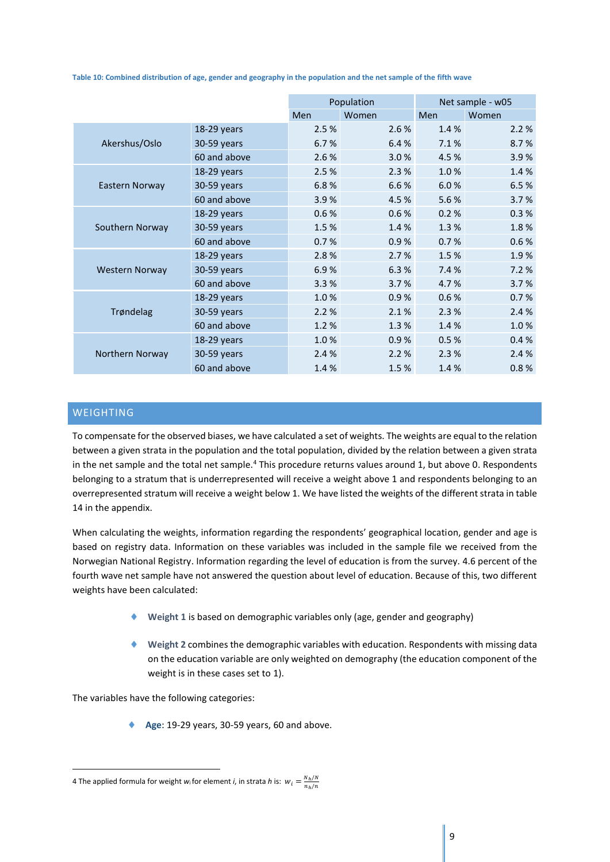**Table 10: Combined distribution of age, gender and geography in the population and the net sample of the fifth wave**

|                       |              |       | Population | Net sample - w05 |       |  |
|-----------------------|--------------|-------|------------|------------------|-------|--|
|                       |              | Men   | Women      | Men              | Women |  |
|                       | 18-29 years  | 2.5 % | 2.6%       | 1.4%             | 2.2%  |  |
| Akershus/Oslo         | 30-59 years  | 6.7%  | 6.4%       | 7.1%             | 8.7%  |  |
|                       | 60 and above | 2.6 % | 3.0%       | 4.5 %            | 3.9%  |  |
|                       | 18-29 years  | 2.5 % | 2.3%       | 1.0%             | 1.4%  |  |
| Eastern Norway        | 30-59 years  | 6.8%  | 6.6%       | 6.0%             | 6.5%  |  |
|                       | 60 and above | 3.9%  | 4.5 %      | 5.6%             | 3.7%  |  |
|                       | 18-29 years  | 0.6%  | 0.6%       | 0.2%             | 0.3%  |  |
| Southern Norway       | 30-59 years  | 1.5 % | 1.4 %      | 1.3 %            | 1.8%  |  |
|                       | 60 and above | 0.7%  | 0.9%       | 0.7%             | 0.6%  |  |
|                       | 18-29 years  | 2.8%  | 2.7%       | 1.5%             | 1.9%  |  |
| <b>Western Norway</b> | 30-59 years  | 6.9%  | 6.3%       | 7.4 %            | 7.2%  |  |
|                       | 60 and above | 3.3%  | 3.7%       | 4.7%             | 3.7%  |  |
|                       | 18-29 years  | 1.0%  | 0.9%       | 0.6%             | 0.7%  |  |
| Trøndelag             | 30-59 years  | 2.2%  | 2.1%       | 2.3%             | 2.4 % |  |
|                       | 60 and above | 1.2%  | 1.3 %      | 1.4 %            | 1.0%  |  |
|                       | 18-29 years  | 1.0%  | 0.9%       | 0.5%             | 0.4%  |  |
| Northern Norway       | 30-59 years  | 2.4 % | 2.2%       | 2.3%             | 2.4 % |  |
|                       | 60 and above | 1.4%  | 1.5%       | 1.4%             | 0.8%  |  |

## <span id="page-9-0"></span>**WEIGHTING**

**-**

To compensate for the observed biases, we have calculated a set of weights. The weights are equal to the relation between a given strata in the population and the total population, divided by the relation between a given strata in the net sample and the total net sample.<sup>4</sup> This procedure returns values around 1, but above 0. Respondents belonging to a stratum that is underrepresented will receive a weight above 1 and respondents belonging to an overrepresented stratum will receive a weight below 1. We have listed the weights of the different strata in table 14 in the appendix.

When calculating the weights, information regarding the respondents' geographical location, gender and age is based on registry data. Information on these variables was included in the sample file we received from the Norwegian National Registry. Information regarding the level of education is from the survey. 4.6 percent of the fourth wave net sample have not answered the question about level of education. Because of this, two different weights have been calculated:

- **Weight 1** is based on demographic variables only (age, gender and geography)
- **Weight 2** combines the demographic variables with education. Respondents with missing data on the education variable are only weighted on demography (the education component of the weight is in these cases set to 1).

The variables have the following categories:

**Age**: 19-29 years, 30-59 years, 60 and above.

<sup>4</sup> The applied formula for weight *w*<sub>i</sub> for element *i*, in strata *h* is:  $w_i = \frac{N_h}{n} \frac{m}{m}$  $n_h/n$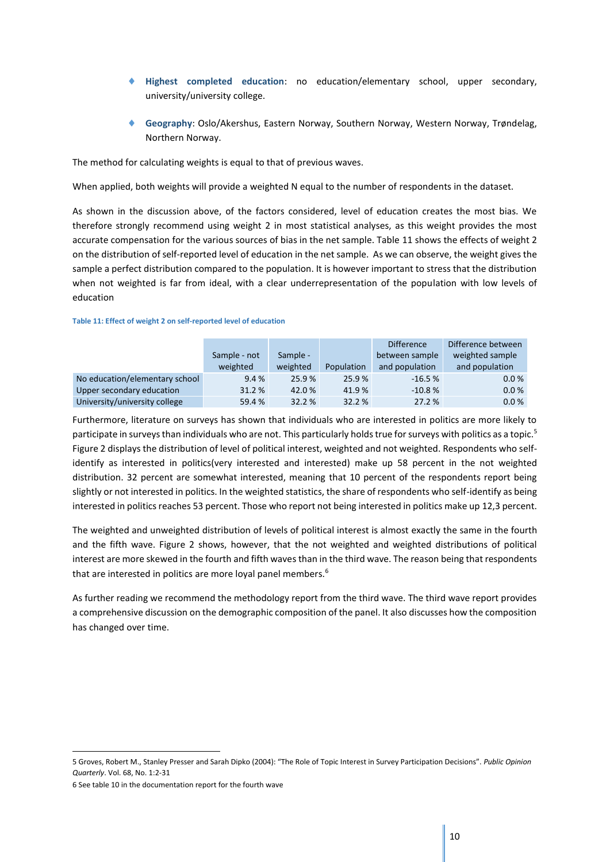- **Highest completed education**: no education/elementary school, upper secondary, university/university college.
- **Geography**: Oslo/Akershus, Eastern Norway, Southern Norway, Western Norway, Trøndelag, Northern Norway.

The method for calculating weights is equal to that of previous waves.

When applied, both weights will provide a weighted N equal to the number of respondents in the dataset.

As shown in the discussion above, of the factors considered, level of education creates the most bias. We therefore strongly recommend using weight 2 in most statistical analyses, as this weight provides the most accurate compensation for the various sources of bias in the net sample. Table 11 shows the effects of weight 2 on the distribution of self-reported level of education in the net sample. As we can observe, the weight gives the sample a perfect distribution compared to the population. It is however important to stress that the distribution when not weighted is far from ideal, with a clear underrepresentation of the population with low levels of education

#### **Table 11: Effect of weight 2 on self-reported level of education**

|                                |              |          |            | <b>Difference</b> | Difference between |
|--------------------------------|--------------|----------|------------|-------------------|--------------------|
|                                | Sample - not | Sample - |            | between sample    | weighted sample    |
|                                | weighted     | weighted | Population | and population    | and population     |
| No education/elementary school | 9.4%         | 25.9%    | 25.9%      | $-16.5%$          | 0.0%               |
| Upper secondary education      | 31.2%        | 42.0%    | 41.9%      | $-10.8%$          | 0.0%               |
| University/university college  | 59.4 %       | 32.2 %   | 32.2 %     | 27.2 %            | 0.0 %              |

Furthermore, literature on surveys has shown that individuals who are interested in politics are more likely to participate in surveys than individuals who are not. This particularly holds true for surveys with politics as a topic.<sup>5</sup> Figure 2 displays the distribution of level of political interest, weighted and not weighted. Respondents who selfidentify as interested in politics(very interested and interested) make up 58 percent in the not weighted distribution. 32 percent are somewhat interested, meaning that 10 percent of the respondents report being slightly or not interested in politics. In the weighted statistics, the share of respondents who self-identify as being interested in politics reaches 53 percent. Those who report not being interested in politics make up 12,3 percent.

The weighted and unweighted distribution of levels of political interest is almost exactly the same in the fourth and the fifth wave. Figure 2 shows, however, that the not weighted and weighted distributions of political interest are more skewed in the fourth and fifth wavesthan in the third wave. The reason being that respondents that are interested in politics are more loyal panel members.<sup>6</sup>

As further reading we recommend the methodology report from the third wave. The third wave report provides a comprehensive discussion on the demographic composition of the panel. It also discusses how the composition has changed over time.

1

<sup>5</sup> Groves, Robert M., Stanley Presser and Sarah Dipko (2004): "The Role of Topic Interest in Survey Participation Decisions". *Public Opinion Quarterly*. Vol. 68, No. 1:2-31

<sup>6</sup> See table 10 in the documentation report for the fourth wave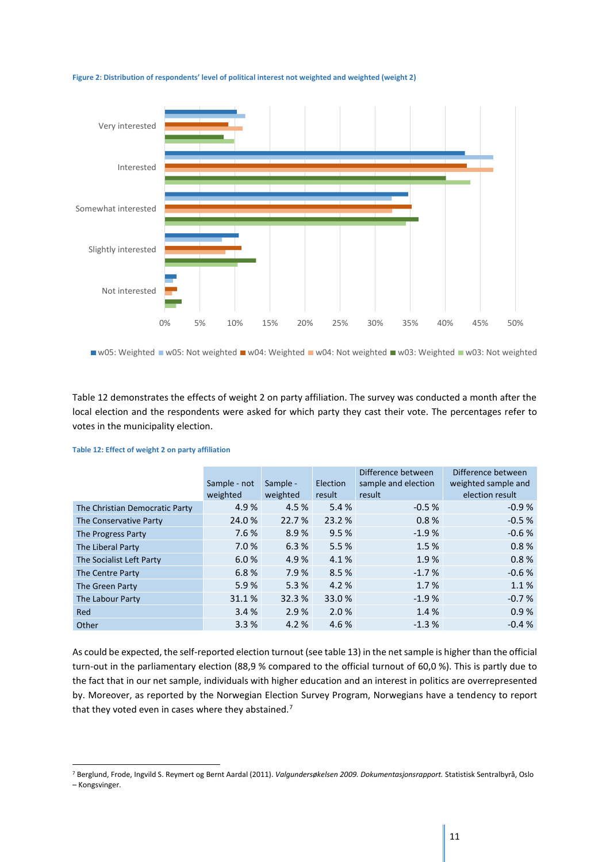

#### **Figure 2: Distribution of respondents' level of political interest not weighted and weighted (weight 2)**

■ w05: Weighted ■ w05: Not weighted ■ w04: Weighted ■ w04: Not weighted ■ w03: Weighted ■ w03: Not weighted

Table 12 demonstrates the effects of weight 2 on party affiliation. The survey was conducted a month after the local election and the respondents were asked for which party they cast their vote. The percentages refer to votes in the municipality election.

|                                | Sample - not<br>weighted | Sample -<br>weighted | Election<br>result | Difference between<br>sample and election<br>result | Difference between<br>weighted sample and<br>election result |
|--------------------------------|--------------------------|----------------------|--------------------|-----------------------------------------------------|--------------------------------------------------------------|
| The Christian Democratic Party | 4.9%                     | 4.5 %                | 5.4 %              | $-0.5%$                                             | $-0.9%$                                                      |
| The Conservative Party         | 24.0 %                   | 22.7 %               | 23.2 %             | 0.8%                                                | $-0.5%$                                                      |
| The Progress Party             | 7.6 %                    | 8.9%                 | 9.5%               | $-1.9%$                                             | $-0.6%$                                                      |
| The Liberal Party              | 7.0%                     | 6.3%                 | 5.5 %              | 1.5%                                                | 0.8%                                                         |
| The Socialist Left Party       | 6.0%                     | 4.9%                 | 4.1%               | 1.9%                                                | 0.8%                                                         |
| The Centre Party               | 6.8%                     | 7.9%                 | 8.5%               | $-1.7%$                                             | $-0.6%$                                                      |
| The Green Party                | 5.9%                     | 5.3%                 | 4.2 %              | 1.7%                                                | 1.1%                                                         |
| The Labour Party               | 31.1%                    | 32.3 %               | 33.0 %             | $-1.9%$                                             | $-0.7%$                                                      |
| Red                            | 3.4%                     | 2.9%                 | 2.0%               | 1.4 %                                               | 0.9%                                                         |
| Other                          | 3.3%                     | 4.2 %                | 4.6 %              | $-1.3%$                                             | $-0.4%$                                                      |

#### **Table 12: Effect of weight 2 on party affiliation**

1

As could be expected, the self-reported election turnout (see table 13) in the net sample is higher than the official turn-out in the parliamentary election (88,9 % compared to the official turnout of 60,0 %). This is partly due to the fact that in our net sample, individuals with higher education and an interest in politics are overrepresented by. Moreover, as reported by the Norwegian Election Survey Program, Norwegians have a tendency to report that they voted even in cases where they abstained.<sup>7</sup>

<sup>7</sup> Berglund, Frode, Ingvild S. Reymert og Bernt Aardal (2011). *Valgundersøkelsen 2009. Dokumentasjonsrapport.* Statistisk Sentralbyrå, Oslo – Kongsvinger.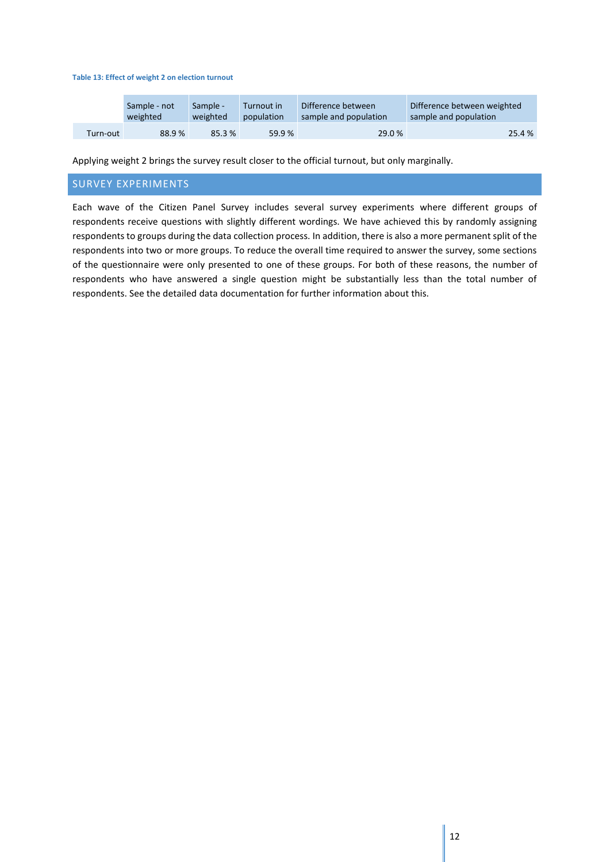#### **Table 13: Effect of weight 2 on election turnout**

|          | Sample - not<br>Sample -<br>weighted<br>weighted |        | Turnout in<br>population | Difference between<br>sample and population | Difference between weighted<br>sample and population |  |  |
|----------|--------------------------------------------------|--------|--------------------------|---------------------------------------------|------------------------------------------------------|--|--|
| Turn-out | 88.9%                                            | 85.3 % | 59.9%                    | 29.0 %                                      | 25.4 %                                               |  |  |

Applying weight 2 brings the survey result closer to the official turnout, but only marginally.

#### <span id="page-12-0"></span>SURVEY EXPERIMENTS

Each wave of the Citizen Panel Survey includes several survey experiments where different groups of respondents receive questions with slightly different wordings. We have achieved this by randomly assigning respondents to groups during the data collection process. In addition, there is also a more permanent split of the respondents into two or more groups. To reduce the overall time required to answer the survey, some sections of the questionnaire were only presented to one of these groups. For both of these reasons, the number of respondents who have answered a single question might be substantially less than the total number of respondents. See the detailed data documentation for further information about this.